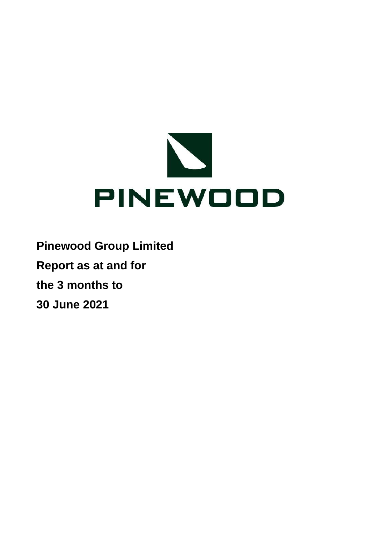

**Pinewood Group Limited Report as at and for the 3 months to 30 June 2021**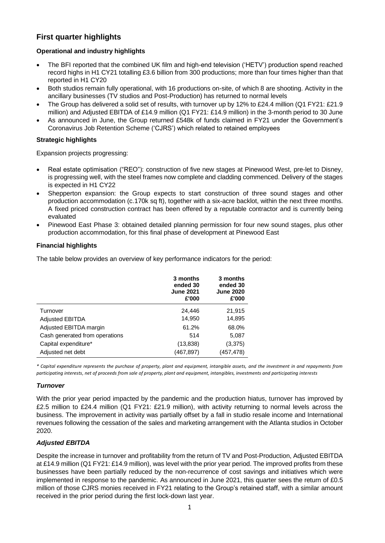## **First quarter highlights**

## **Operational and industry highlights**

- The BFI reported that the combined UK film and high-end television ('HETV') production spend reached record highs in H1 CY21 totalling £3.6 billion from 300 productions; more than four times higher than that reported in H1 CY20
- Both studios remain fully operational, with 16 productions on-site, of which 8 are shooting. Activity in the ancillary businesses (TV studios and Post-Production) has returned to normal levels
- The Group has delivered a solid set of results, with turnover up by 12% to £24.4 million (Q1 FY21: £21.9 million) and Adjusted EBITDA of £14.9 million (Q1 FY21: £14.9 million) in the 3-month period to 30 June
- As announced in June, the Group returned £548k of funds claimed in FY21 under the Government's Coronavirus Job Retention Scheme ('CJRS') which related to retained employees

## **Strategic highlights**

Expansion projects progressing:

- Real estate optimisation ("REO"): construction of five new stages at Pinewood West, pre-let to Disney, is progressing well, with the steel frames now complete and cladding commenced. Delivery of the stages is expected in H1 CY22
- Shepperton expansion: the Group expects to start construction of three sound stages and other production accommodation (c.170k sq ft), together with a six-acre backlot, within the next three months. A fixed priced construction contract has been offered by a reputable contractor and is currently being evaluated
- Pinewood East Phase 3: obtained detailed planning permission for four new sound stages, plus other production accommodation, for this final phase of development at Pinewood East

## **Financial highlights**

The table below provides an overview of key performance indicators for the period:

|                                | 3 months<br>ended 30<br><b>June 2021</b><br>£'000 | 3 months<br>ended 30<br><b>June 2020</b><br>£'000 |
|--------------------------------|---------------------------------------------------|---------------------------------------------------|
| Turnover                       | 24,446                                            | 21,915                                            |
| <b>Adjusted EBITDA</b>         | 14,950                                            | 14,895                                            |
| Adjusted EBITDA margin         | 61.2%                                             | 68.0%                                             |
| Cash generated from operations | 514                                               | 5,087                                             |
| Capital expenditure*           | (13, 838)                                         | (3,375)                                           |
| Adjusted net debt              | (467,897)                                         | (457,478)                                         |

*\* Capital expenditure represents the purchase of property, plant and equipment, intangible assets, and the investment in and repayments from participating interests, net of proceeds from sale of property, plant and equipment, intangibles, investments and participating interests*

## *Turnover*

With the prior year period impacted by the pandemic and the production hiatus, turnover has improved by £2.5 million to £24.4 million (Q1 FY21: £21.9 million), with activity returning to normal levels across the business. The improvement in activity was partially offset by a fall in studio resale income and International revenues following the cessation of the sales and marketing arrangement with the Atlanta studios in October 2020.

## *Adjusted EBITDA*

Despite the increase in turnover and profitability from the return of TV and Post-Production, Adjusted EBITDA at £14.9 million (Q1 FY21: £14.9 million), was level with the prior year period. The improved profits from these businesses have been partially reduced by the non-recurrence of cost savings and initiatives which were implemented in response to the pandemic. As announced in June 2021, this quarter sees the return of £0.5 million of those CJRS monies received in FY21 relating to the Group's retained staff, with a similar amount received in the prior period during the first lock-down last year.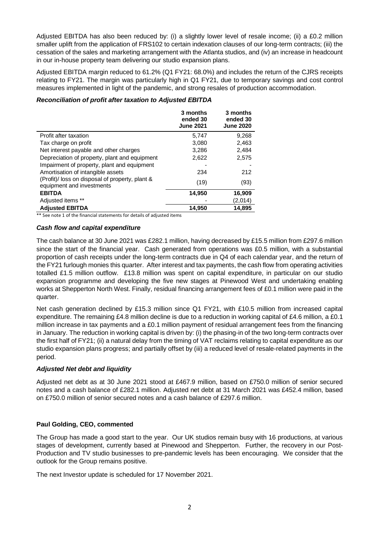Adjusted EBITDA has also been reduced by: (i) a slightly lower level of resale income; (ii) a £0.2 million smaller uplift from the application of FRS102 to certain indexation clauses of our long-term contracts; (iii) the cessation of the sales and marketing arrangement with the Atlanta studios, and (iv) an increase in headcount in our in-house property team delivering our studio expansion plans.

Adjusted EBITDA margin reduced to 61.2% (Q1 FY21: 68.0%) and includes the return of the CJRS receipts relating to FY21. The margin was particularly high in Q1 FY21, due to temporary savings and cost control measures implemented in light of the pandemic, and strong resales of production accommodation.

## *Reconciliation of profit after taxation to Adjusted EBITDA*

|                                                                              | 3 months<br>ended 30<br><b>June 2021</b> | 3 months<br>ended 30<br><b>June 2020</b> |
|------------------------------------------------------------------------------|------------------------------------------|------------------------------------------|
| Profit after taxation                                                        | 5,747                                    | 9,268                                    |
| Tax charge on profit                                                         | 3.080                                    | 2,463                                    |
| Net interest payable and other charges                                       | 3,286                                    | 2,484                                    |
| Depreciation of property, plant and equipment                                | 2,622                                    | 2,575                                    |
| Impairment of property, plant and equipment                                  |                                          |                                          |
| Amortisation of intangible assets                                            | 234                                      | 212                                      |
| (Profit)/ loss on disposal of property, plant &<br>equipment and investments | (19)                                     | (93)                                     |
| <b>EBITDA</b>                                                                | 14,950                                   | 16,909                                   |
| Adjusted items **                                                            |                                          | (2,014)                                  |
| <b>Adjusted EBITDA</b>                                                       | 14.950                                   | 14.895                                   |

\*\* See note 1 of the financial statements for details of adjusted items

## *Cash flow and capital expenditure*

The cash balance at 30 June 2021 was £282.1 million, having decreased by £15.5 million from £297.6 million since the start of the financial year. Cash generated from operations was £0.5 million, with a substantial proportion of cash receipts under the long-term contracts due in Q4 of each calendar year, and the return of the FY21 furlough monies this quarter. After interest and tax payments, the cash flow from operating activities totalled £1.5 million outflow. £13.8 million was spent on capital expenditure, in particular on our studio expansion programme and developing the five new stages at Pinewood West and undertaking enabling works at Shepperton North West. Finally, residual financing arrangement fees of £0.1 million were paid in the quarter.

Net cash generation declined by £15.3 million since Q1 FY21, with £10.5 million from increased capital expenditure. The remaining £4.8 million decline is due to a reduction in working capital of £4.6 million, a £0.1 million increase in tax payments and a £0.1 million payment of residual arrangement fees from the financing in January. The reduction in working capital is driven by: (i) the phasing-in of the two long-term contracts over the first half of FY21; (ii) a natural delay from the timing of VAT reclaims relating to capital expenditure as our studio expansion plans progress; and partially offset by (iii) a reduced level of resale-related payments in the period.

## *Adjusted Net debt and liquidity*

Adjusted net debt as at 30 June 2021 stood at £467.9 million, based on £750.0 million of senior secured notes and a cash balance of £282.1 million. Adjusted net debt at 31 March 2021 was £452.4 million, based on £750.0 million of senior secured notes and a cash balance of £297.6 million.

## **Paul Golding, CEO, commented**

The Group has made a good start to the year. Our UK studios remain busy with 16 productions, at various stages of development, currently based at Pinewood and Shepperton. Further, the recovery in our Post-Production and TV studio businesses to pre-pandemic levels has been encouraging. We consider that the outlook for the Group remains positive.

The next Investor update is scheduled for 17 November 2021.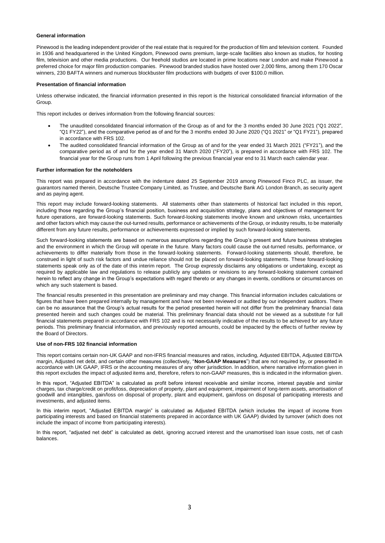#### **General information**

Pinewood is the leading independent provider of the real estate that is required for the production of film and television content. Founded in 1936 and headquartered in the United Kingdom, Pinewood owns premium, large-scale facilities also known as studios, for hosting film, television and other media productions. Our freehold studios are located in prime locations near London and make Pinewood a preferred choice for major film production companies. Pinewood branded studios have hosted over 2,000 films, among them 170 Oscar winners, 230 BAFTA winners and numerous blockbuster film productions with budgets of over \$100.0 million.

#### **Presentation of financial information**

Unless otherwise indicated, the financial information presented in this report is the historical consolidated financial information of the Group.

This report includes or derives information from the following financial sources:

- The unaudited consolidated financial information of the Group as of and for the 3 months ended 30 June 2021 ("Q1 2022", "Q1 FY22"), and the comparative period as of and for the 3 months ended 30 June 2020 ("Q1 2021" or "Q1 FY21"), prepared in accordance with FRS 102.
- The audited consolidated financial information of the Group as of and for the year ended 31 March 2021 ("FY21"), and the comparative period as of and for the year ended 31 March 2020 ("FY20"), is prepared in accordance with FRS 102. The financial year for the Group runs from 1 April following the previous financial year end to 31 March each calendar year.

#### **Further information for the noteholders**

This report was prepared in accordance with the indenture dated 25 September 2019 among Pinewood Finco PLC, as issuer, the guarantors named therein, Deutsche Trustee Company Limited, as Trustee, and Deutsche Bank AG London Branch, as security agent and as paying agent.

This report may include forward-looking statements. All statements other than statements of historical fact included in this report, including those regarding the Group's financial position, business and acquisition strategy, plans and objectives of management for future operations, are forward-looking statements. Such forward-looking statements involve known and unknown risks, uncertainties and other factors which may cause the out-turned results, performance or achievements of the Group, or industry results, to be materially different from any future results, performance or achievements expressed or implied by such forward-looking statements.

Such forward-looking statements are based on numerous assumptions regarding the Group's present and future business strategies and the environment in which the Group will operate in the future. Many factors could cause the out-turned results, performance, or achievements to differ materially from those in the forward-looking statements. Forward-looking statements should, therefore, be construed in light of such risk factors and undue reliance should not be placed on forward-looking statements. These forward-looking statements speak only as of the date of this interim report. The Group expressly disclaims any obligations or undertaking, except as required by applicable law and regulations to release publicly any updates or revisions to any forward-looking statement contained herein to reflect any change in the Group's expectations with regard thereto or any changes in events, conditions or circumstances on which any such statement is based.

The financial results presented in this presentation are preliminary and may change. This financial information includes calculations or figures that have been prepared internally by management and have not been reviewed or audited by our independent auditors. There can be no assurance that the Group's actual results for the period presented herein will not differ from the preliminary financial data presented herein and such changes could be material. This preliminary financial data should not be viewed as a substitute for full financial statements prepared in accordance with FRS 102 and is not necessarily indicative of the results to be achieved for any future periods. This preliminary financial information, and previously reported amounts, could be impacted by the effects of further review by the Board of Directors.

#### **Use of non-FRS 102 financial information**

This report contains certain non-UK GAAP and non-IFRS financial measures and ratios, including, Adjusted EBITDA, Adjusted EBITDA margin, Adjusted net debt, and certain other measures (collectively, "**Non-GAAP Measures**") that are not required by, or presented in accordance with UK GAAP, IFRS or the accounting measures of any other jurisdiction. In addition, where narrative information given in this report excludes the impact of adjusted items and, therefore, refers to non-GAAP measures, this is indicated in the information given.

In this report, "Adjusted EBITDA" is calculated as profit before interest receivable and similar income, interest payable and similar charges, tax charge/credit on profit/loss, depreciation of property, plant and equipment, impairment of long-term assets, amortisation of goodwill and intangibles, gain/loss on disposal of property, plant and equipment, gain/loss on disposal of participating interests and investments, and adjusted items.

In this interim report, "Adjusted EBITDA margin" is calculated as Adjusted EBITDA (which includes the impact of income from participating interests and based on financial statements prepared in accordance with UK GAAP) divided by turnover (which does not include the impact of income from participating interests).

In this report, "adjusted net debt" is calculated as debt, ignoring accrued interest and the unamortised loan issue costs, net of cash balances.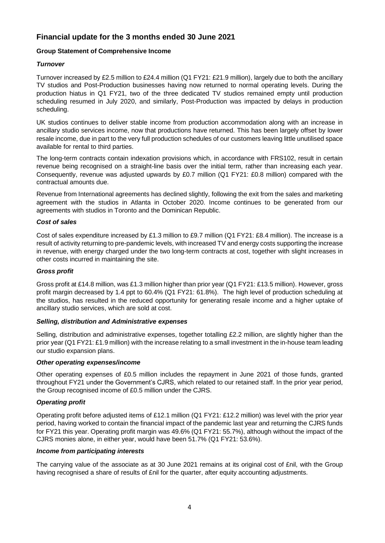## **Financial update for the 3 months ended 30 June 2021**

## **Group Statement of Comprehensive Income**

## *Turnover*

Turnover increased by £2.5 million to £24.4 million (Q1 FY21: £21.9 million), largely due to both the ancillary TV studios and Post-Production businesses having now returned to normal operating levels. During the production hiatus in Q1 FY21, two of the three dedicated TV studios remained empty until production scheduling resumed in July 2020, and similarly, Post-Production was impacted by delays in production scheduling.

UK studios continues to deliver stable income from production accommodation along with an increase in ancillary studio services income, now that productions have returned. This has been largely offset by lower resale income, due in part to the very full production schedules of our customers leaving little unutilised space available for rental to third parties.

The long-term contracts contain indexation provisions which, in accordance with FRS102, result in certain revenue being recognised on a straight-line basis over the initial term, rather than increasing each year. Consequently, revenue was adjusted upwards by £0.7 million (Q1 FY21: £0.8 million) compared with the contractual amounts due.

Revenue from International agreements has declined slightly, following the exit from the sales and marketing agreement with the studios in Atlanta in October 2020. Income continues to be generated from our agreements with studios in Toronto and the Dominican Republic.

## *Cost of sales*

Cost of sales expenditure increased by £1.3 million to £9.7 million (Q1 FY21: £8.4 million). The increase is a result of activity returning to pre-pandemic levels, with increased TV and energy costs supporting the increase in revenue, with energy charged under the two long-term contracts at cost, together with slight increases in other costs incurred in maintaining the site.

#### *Gross profit*

Gross profit at £14.8 million, was £1.3 million higher than prior year (Q1 FY21: £13.5 million). However, gross profit margin decreased by 1.4 ppt to 60.4% (Q1 FY21: 61.8%). The high level of production scheduling at the studios, has resulted in the reduced opportunity for generating resale income and a higher uptake of ancillary studio services, which are sold at cost.

## *Selling, distribution and Administrative expenses*

Selling, distribution and administrative expenses, together totalling £2.2 million, are slightly higher than the prior year (Q1 FY21: £1.9 million) with the increase relating to a small investment in the in-house team leading our studio expansion plans.

#### *Other operating expenses/income*

Other operating expenses of £0.5 million includes the repayment in June 2021 of those funds, granted throughout FY21 under the Government's CJRS, which related to our retained staff. In the prior year period, the Group recognised income of £0.5 million under the CJRS.

## *Operating profit*

Operating profit before adjusted items of £12.1 million (Q1 FY21: £12.2 million) was level with the prior year period, having worked to contain the financial impact of the pandemic last year and returning the CJRS funds for FY21 this year. Operating profit margin was 49.6% (Q1 FY21: 55.7%), although without the impact of the CJRS monies alone, in either year, would have been 51.7% (Q1 FY21: 53.6%).

#### *Income from participating interests*

The carrying value of the associate as at 30 June 2021 remains at its original cost of £nil, with the Group having recognised a share of results of £nil for the quarter, after equity accounting adjustments.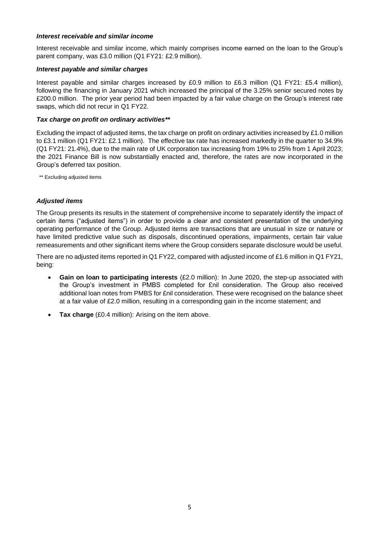#### *Interest receivable and similar income*

Interest receivable and similar income, which mainly comprises income earned on the loan to the Group's parent company, was £3.0 million (Q1 FY21: £2.9 million).

#### *Interest payable and similar charges*

Interest payable and similar charges increased by £0.9 million to £6.3 million (Q1 FY21: £5.4 million), following the financing in January 2021 which increased the principal of the 3.25% senior secured notes by £200.0 million. The prior year period had been impacted by a fair value charge on the Group's interest rate swaps, which did not recur in Q1 FY22.

#### *Tax charge on profit on ordinary activities\*\**

Excluding the impact of adjusted items, the tax charge on profit on ordinary activities increased by £1.0 million to £3.1 million (Q1 FY21: £2.1 million). The effective tax rate has increased markedly in the quarter to 34.9% (Q1 FY21: 21.4%), due to the main rate of UK corporation tax increasing from 19% to 25% from 1 April 2023; the 2021 Finance Bill is now substantially enacted and, therefore, the rates are now incorporated in the Group's deferred tax position.

\*\* Excluding adjusted items

## *Adjusted items*

The Group presents its results in the statement of comprehensive income to separately identify the impact of certain items ("adjusted items") in order to provide a clear and consistent presentation of the underlying operating performance of the Group. Adjusted items are transactions that are unusual in size or nature or have limited predictive value such as disposals, discontinued operations, impairments, certain fair value remeasurements and other significant items where the Group considers separate disclosure would be useful.

There are no adjusted items reported in Q1 FY22, compared with adjusted income of £1.6 million in Q1 FY21, being:

- **Gain on loan to participating interests** (£2.0 million): In June 2020, the step-up associated with the Group's investment in PMBS completed for £nil consideration. The Group also received additional loan notes from PMBS for £nil consideration. These were recognised on the balance sheet at a fair value of £2.0 million, resulting in a corresponding gain in the income statement; and
- **Tax charge** (£0.4 million): Arising on the item above.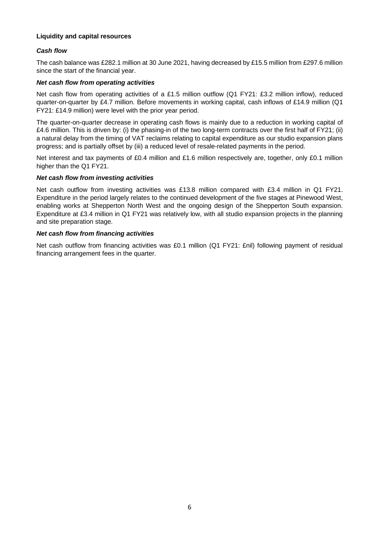## **Liquidity and capital resources**

## *Cash flow*

The cash balance was £282.1 million at 30 June 2021, having decreased by £15.5 million from £297.6 million since the start of the financial year.

#### *Net cash flow from operating activities*

Net cash flow from operating activities of a £1.5 million outflow (Q1 FY21: £3.2 million inflow), reduced quarter-on-quarter by £4.7 million. Before movements in working capital, cash inflows of £14.9 million (Q1 FY21: £14.9 million) were level with the prior year period.

The quarter-on-quarter decrease in operating cash flows is mainly due to a reduction in working capital of £4.6 million. This is driven by: (i) the phasing-in of the two long-term contracts over the first half of FY21; (ii) a natural delay from the timing of VAT reclaims relating to capital expenditure as our studio expansion plans progress; and is partially offset by (iii) a reduced level of resale-related payments in the period.

Net interest and tax payments of £0.4 million and £1.6 million respectively are, together, only £0.1 million higher than the Q1 FY21.

## *Net cash flow from investing activities*

Net cash outflow from investing activities was £13.8 million compared with £3.4 million in Q1 FY21. Expenditure in the period largely relates to the continued development of the five stages at Pinewood West, enabling works at Shepperton North West and the ongoing design of the Shepperton South expansion. Expenditure at £3.4 million in Q1 FY21 was relatively low, with all studio expansion projects in the planning and site preparation stage.

#### *Net cash flow from financing activities*

Net cash outflow from financing activities was £0.1 million (Q1 FY21: £nil) following payment of residual financing arrangement fees in the quarter.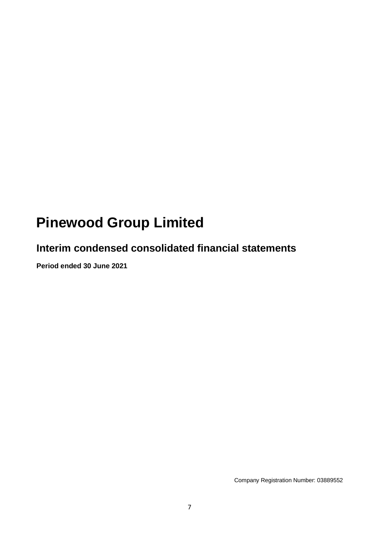# **Pinewood Group Limited**

## **Interim condensed consolidated financial statements**

**Period ended 30 June 2021**

Company Registration Number: 03889552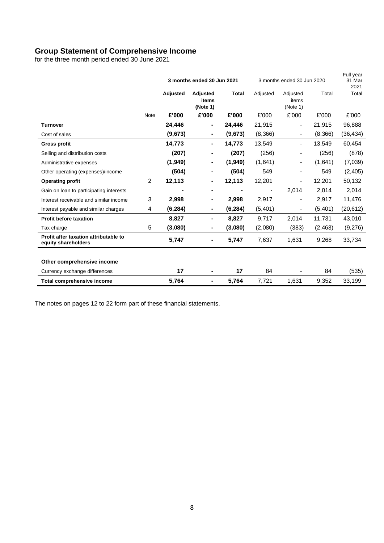## **Group Statement of Comprehensive Income**

for the three month period ended 30 June 2021

|                                                              |                |          | 3 months ended 30 Jun 2021    |              | 3 months ended 30 Jun 2020 |                               | Full year<br>31 Mar<br>2021 |           |
|--------------------------------------------------------------|----------------|----------|-------------------------------|--------------|----------------------------|-------------------------------|-----------------------------|-----------|
|                                                              |                | Adjusted | Adjusted<br>items<br>(Note 1) | <b>Total</b> | Adjusted                   | Adjusted<br>items<br>(Note 1) | Total                       | Total     |
|                                                              | <b>Note</b>    | £'000    | £'000                         | £'000        | £'000                      | £'000                         | £'000                       | £'000     |
| <b>Turnover</b>                                              |                | 24,446   | ٠                             | 24,446       | 21,915                     | $\overline{\phantom{a}}$      | 21,915                      | 96,888    |
| Cost of sales                                                |                | (9,673)  | ٠                             | (9,673)      | (8,366)                    | $\overline{\phantom{a}}$      | (8,366)                     | (36, 434) |
| <b>Gross profit</b>                                          |                | 14,773   | ٠                             | 14,773       | 13,549                     | $\overline{\phantom{a}}$      | 13,549                      | 60,454    |
| Selling and distribution costs                               |                | (207)    |                               | (207)        | (256)                      |                               | (256)                       | (878)     |
| Administrative expenses                                      |                | (1,949)  | ۰                             | (1,949)      | (1,641)                    |                               | (1,641)                     | (7,039)   |
| Other operating (expenses)/income                            |                | (504)    |                               | (504)        | 549                        | $\overline{\phantom{a}}$      | 549                         | (2,405)   |
| <b>Operating profit</b>                                      | $\overline{2}$ | 12,113   | $\blacksquare$                | 12,113       | 12,201                     | $\blacksquare$                | 12,201                      | 50,132    |
| Gain on loan to participating interests                      |                |          |                               |              |                            | 2,014                         | 2,014                       | 2,014     |
| Interest receivable and similar income                       | 3              | 2,998    | ٠                             | 2,998        | 2,917                      | $\overline{\phantom{a}}$      | 2,917                       | 11,476    |
| Interest payable and similar charges                         | 4              | (6, 284) |                               | (6, 284)     | (5,401)                    | $\overline{\phantom{a}}$      | (5,401)                     | (20, 612) |
| <b>Profit before taxation</b>                                |                | 8,827    | ٠                             | 8,827        | 9,717                      | 2,014                         | 11,731                      | 43,010    |
| Tax charge                                                   | 5              | (3,080)  | ۰                             | (3,080)      | (2,080)                    | (383)                         | (2, 463)                    | (9,276)   |
| Profit after taxation attributable to<br>equity shareholders |                | 5,747    | ٠                             | 5,747        | 7,637                      | 1,631                         | 9,268                       | 33,734    |
|                                                              |                |          |                               |              |                            |                               |                             |           |
| Other comprehensive income                                   |                |          |                               |              |                            |                               |                             |           |
| Currency exchange differences                                |                | 17       |                               | 17           | 84                         |                               | 84                          | (535)     |
| <b>Total comprehensive income</b>                            |                | 5,764    | ٠                             | 5,764        | 7,721                      | 1,631                         | 9,352                       | 33,199    |

The notes on pages 12 to 22 form part of these financial statements.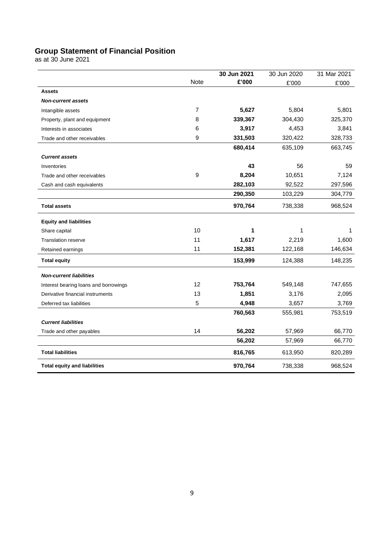## **Group Statement of Financial Position**

as at 30 June 2021

|                                       |      | 30 Jun 2021 | 30 Jun 2020 | 31 Mar 2021 |
|---------------------------------------|------|-------------|-------------|-------------|
|                                       | Note | £'000       | £'000       | £'000       |
| <b>Assets</b>                         |      |             |             |             |
| <b>Non-current assets</b>             |      |             |             |             |
| Intangible assets                     | 7    | 5,627       | 5,804       | 5,801       |
| Property, plant and equipment         | 8    | 339,367     | 304,430     | 325,370     |
| Interests in associates               | 6    | 3,917       | 4,453       | 3,841       |
| Trade and other receivables           | 9    | 331,503     | 320,422     | 328,733     |
|                                       |      | 680,414     | 635,109     | 663,745     |
| <b>Current assets</b>                 |      |             |             |             |
| Inventories                           |      | 43          | 56          | 59          |
| Trade and other receivables           | 9    | 8,204       | 10,651      | 7,124       |
| Cash and cash equivalents             |      | 282,103     | 92,522      | 297,596     |
|                                       |      | 290,350     | 103,229     | 304,779     |
| <b>Total assets</b>                   |      | 970,764     | 738,338     | 968,524     |
| <b>Equity and liabilities</b>         |      |             |             |             |
| Share capital                         | 10   | 1           | 1           | 1           |
| <b>Translation reserve</b>            | 11   | 1,617       | 2,219       | 1,600       |
| Retained earnings                     | 11   | 152,381     | 122,168     | 146,634     |
| <b>Total equity</b>                   |      | 153,999     | 124,388     | 148,235     |
| <b>Non-current liabilities</b>        |      |             |             |             |
| Interest bearing loans and borrowings | 12   | 753,764     | 549,148     | 747,655     |
| Derivative financial instruments      | 13   | 1,851       | 3,176       | 2,095       |
| Deferred tax liabilities              | 5    | 4,948       | 3,657       | 3,769       |
|                                       |      | 760,563     | 555,981     | 753,519     |
| <b>Current liabilities</b>            |      |             |             |             |
| Trade and other payables              | 14   | 56,202      | 57,969      | 66,770      |
|                                       |      | 56,202      | 57,969      | 66,770      |
| <b>Total liabilities</b>              |      | 816,765     | 613,950     | 820,289     |
| <b>Total equity and liabilities</b>   |      | 970,764     | 738,338     | 968,524     |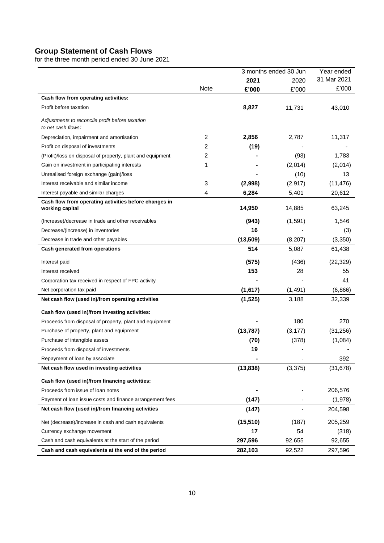## **Group Statement of Cash Flows**

for the three month period ended 30 June 2021

|                                                                          |             |           | 3 months ended 30 Jun | Year ended  |
|--------------------------------------------------------------------------|-------------|-----------|-----------------------|-------------|
|                                                                          |             | 2021      | 2020                  | 31 Mar 2021 |
|                                                                          | <b>Note</b> | £'000     | £'000                 | £'000       |
| Cash flow from operating activities:                                     |             |           |                       |             |
| Profit before taxation                                                   |             | 8,827     | 11,731                | 43,010      |
| Adjustments to reconcile profit before taxation<br>to net cash flows:    |             |           |                       |             |
| Depreciation, impairment and amortisation                                | 2           | 2,856     | 2,787                 | 11,317      |
| Profit on disposal of investments                                        | 2           | (19)      |                       |             |
| (Profit)/loss on disposal of property, plant and equipment               | 2           |           | (93)                  | 1,783       |
| Gain on investment in participating interests                            | 1           |           | (2,014)               | (2,014)     |
| Unrealised foreign exchange (gain)/loss                                  |             |           | (10)                  | 13          |
| Interest receivable and similar income                                   | 3           | (2,998)   | (2,917)               | (11, 476)   |
| Interest payable and similar charges                                     | 4           | 6,284     | 5,401                 | 20,612      |
| Cash flow from operating activities before changes in<br>working capital |             | 14,950    | 14,885                | 63,245      |
| (Increase)/decrease in trade and other receivables                       |             | (943)     | (1, 591)              | 1,546       |
| Decrease/(increase) in inventories                                       |             | 16        |                       | (3)         |
| Decrease in trade and other payables                                     |             | (13,509)  | (8, 207)              | (3,350)     |
| Cash generated from operations                                           |             | 514       | 5,087                 | 61,438      |
| Interest paid                                                            |             | (575)     | (436)                 | (22, 329)   |
| Interest received                                                        |             | 153       | 28                    | 55          |
| Corporation tax received in respect of FPC activity                      |             |           |                       | 41          |
| Net corporation tax paid                                                 |             | (1,617)   | (1, 491)              | (6,866)     |
| Net cash flow (used in)/from operating activities                        |             | (1, 525)  | 3,188                 | 32,339      |
|                                                                          |             |           |                       |             |
| Cash flow (used in)/from investing activities:                           |             |           |                       |             |
| Proceeds from disposal of property, plant and equipment                  |             |           | 180                   | 270         |
| Purchase of property, plant and equipment                                |             | (13, 787) | (3, 177)              | (31,256)    |
| Purchase of intangible assets                                            |             | (70)      | (378)                 | (1,084)     |
| Proceeds from disposal of investments                                    |             | 19        |                       |             |
| Repayment of loan by associate                                           |             |           |                       | 392         |
| Net cash flow used in investing activities                               |             | (13, 838) | (3,375)               | (31, 678)   |
| Cash flow (used in)/from financing activities:                           |             |           |                       |             |
| Proceeds from issue of loan notes                                        |             |           |                       | 206,576     |
| Payment of loan issue costs and finance arrangement fees                 |             | (147)     |                       | (1,978)     |
| Net cash flow (used in)/from financing activities                        |             | (147)     |                       | 204,598     |
| Net (decrease)/increase in cash and cash equivalents                     |             | (15, 510) | (187)                 | 205,259     |
| Currency exchange movement                                               |             | 17        | 54                    | (318)       |
| Cash and cash equivalents at the start of the period                     |             | 297,596   | 92,655                | 92,655      |
| Cash and cash equivalents at the end of the period                       |             | 282,103   | 92,522                | 297,596     |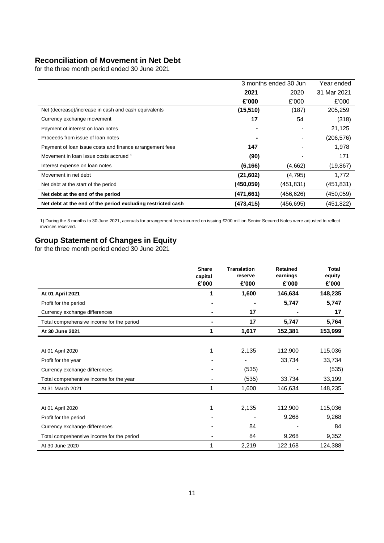## **Reconciliation of Movement in Net Debt**

for the three month period ended 30 June 2021

|                                                             | 3 months ended 30 Jun | Year ended |             |
|-------------------------------------------------------------|-----------------------|------------|-------------|
|                                                             | 2021                  | 2020       | 31 Mar 2021 |
|                                                             | £'000                 | £'000      | £'000       |
| Net (decrease)/increase in cash and cash equivalents        | (15, 510)             | (187)      | 205,259     |
| Currency exchange movement                                  | 17                    | 54         | (318)       |
| Payment of interest on loan notes                           |                       |            | 21,125      |
| Proceeds from issue of loan notes                           |                       |            | (206, 576)  |
| Payment of loan issue costs and finance arrangement fees    | 147                   |            | 1,978       |
| Movement in loan issue costs accrued 1                      | (90)                  |            | 171         |
| Interest expense on loan notes                              | (6, 166)              | (4,662)    | (19, 867)   |
| Movement in net debt                                        | (21,602)              | (4,795)    | 1,772       |
| Net debt at the start of the period                         | (450.059)             | (451,831)  | (451, 831)  |
| Net debt at the end of the period                           | (471, 661)            | (456,626)  | (450.059)   |
| Net debt at the end of the period excluding restricted cash | (473,415)             | (456,695)  | (451, 822)  |

1) During the 3 months to 30 June 2021, accruals for arrangement fees incurred on issuing £200 million Senior Secured Notes were adjusted to reflect invoices received.

## **Group Statement of Changes in Equity**

for the three month period ended 30 June 2021

|                                           | <b>Share</b><br>capital | <b>Translation</b><br>reserve | Retained<br>earnings | <b>Total</b><br>equity |
|-------------------------------------------|-------------------------|-------------------------------|----------------------|------------------------|
|                                           | £'000                   | £'000                         | £'000                | £'000                  |
| At 01 April 2021                          | 1                       | 1,600                         | 146,634              | 148,235                |
| Profit for the period                     |                         |                               | 5,747                | 5,747                  |
| Currency exchange differences             |                         | 17                            |                      | 17                     |
| Total comprehensive income for the period |                         | 17                            | 5,747                | 5,764                  |
| At 30 June 2021                           | 1                       | 1,617                         | 152,381              | 153,999                |
|                                           |                         |                               |                      |                        |
| At 01 April 2020                          |                         | 2,135                         | 112,900              | 115,036                |
| Profit for the year                       |                         |                               | 33,734               | 33,734                 |
| Currency exchange differences             |                         | (535)                         |                      | (535)                  |
| Total comprehensive income for the year   |                         | (535)                         | 33,734               | 33,199                 |
| At 31 March 2021                          |                         | 1,600                         | 146,634              | 148,235                |
|                                           |                         |                               |                      |                        |
| At 01 April 2020                          |                         | 2,135                         | 112,900              | 115,036                |
| Profit for the period                     |                         |                               | 9,268                | 9,268                  |
| Currency exchange differences             |                         | 84                            |                      | 84                     |
| Total comprehensive income for the period |                         | 84                            | 9,268                | 9,352                  |
| At 30 June 2020                           |                         | 2,219                         | 122,168              | 124,388                |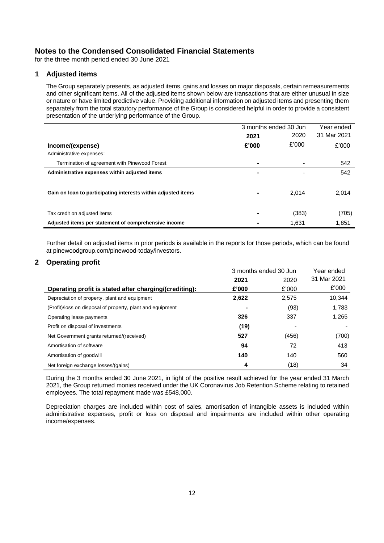for the three month period ended 30 June 2021

#### **1 Adjusted items**

The Group separately presents, as adjusted items, gains and losses on major disposals, certain remeasurements and other significant items. All of the adjusted items shown below are transactions that are either unusual in size or nature or have limited predictive value. Providing additional information on adjusted items and presenting them separately from the total statutory performance of the Group is considered helpful in order to provide a consistent presentation of the underlying performance of the Group.

|                                                               | 3 months ended 30 Jun |       | Year ended  |
|---------------------------------------------------------------|-----------------------|-------|-------------|
|                                                               | 2021                  | 2020  | 31 Mar 2021 |
| Income/(expense)                                              | £'000                 | £'000 | £'000       |
| Administrative expenses:                                      |                       |       |             |
| Termination of agreement with Pinewood Forest                 | ۰                     |       | 542         |
| Administrative expenses within adjusted items                 |                       |       | 542         |
|                                                               |                       |       |             |
| Gain on loan to participating interests within adjusted items | ۰                     | 2.014 | 2,014       |
|                                                               |                       |       |             |
| Tax credit on adjusted items                                  | -                     | (383) | (705)       |
| Adjusted items per statement of comprehensive income          |                       | 1.631 | 1,851       |

Further detail on adjusted items in prior periods is available in the reports for those periods, which can be found at pinewoodgroup.com/pinewood-today/investors.

#### **2 Operating profit**

|                                                            | 3 months ended 30 Jun |       | Year ended  |
|------------------------------------------------------------|-----------------------|-------|-------------|
|                                                            | 2021                  | 2020  | 31 Mar 2021 |
| Operating profit is stated after charging/(crediting):     | £'000                 | £'000 | £'000       |
| Depreciation of property, plant and equipment              | 2,622                 | 2,575 | 10.344      |
| (Profit)/loss on disposal of property, plant and equipment |                       | (93)  | 1,783       |
| Operating lease payments                                   | 326                   | 337   | 1,265       |
| Profit on disposal of investments                          | (19)                  |       |             |
| Net Government grants returned/(received)                  | 527                   | (456) | (700)       |
| Amortisation of software                                   | 94                    | 72    | 413         |
| Amortisation of goodwill                                   | 140                   | 140   | 560         |
| Net foreign exchange losses/(gains)                        | 4                     | (18)  | 34          |

During the 3 months ended 30 June 2021, in light of the positive result achieved for the year ended 31 March 2021, the Group returned monies received under the UK Coronavirus Job Retention Scheme relating to retained employees. The total repayment made was £548,000.

Depreciation charges are included within cost of sales, amortisation of intangible assets is included within administrative expenses, profit or loss on disposal and impairments are included within other operating income/expenses.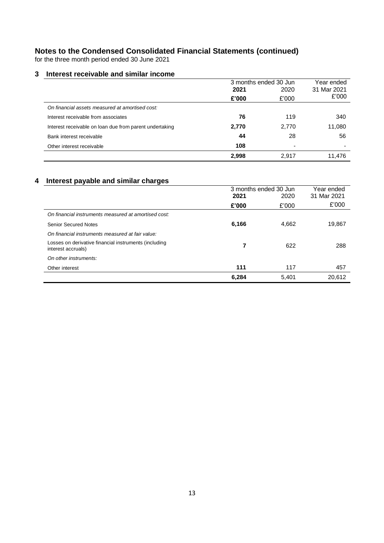for the three month period ended 30 June 2021

## **3 Interest receivable and similar income**

|                                                         | 3 months ended 30 Jun |                          | Year ended  |
|---------------------------------------------------------|-----------------------|--------------------------|-------------|
|                                                         | 2021                  | 2020                     | 31 Mar 2021 |
|                                                         | £'000                 | £'000                    | £'000       |
| On financial assets measured at amortised cost:         |                       |                          |             |
| Interest receivable from associates                     | 76                    | 119                      | 340         |
| Interest receivable on loan due from parent undertaking | 2,770                 | 2,770                    | 11,080      |
| Bank interest receivable                                | 44                    | 28                       | 56          |
| Other interest receivable                               | 108                   | $\overline{\phantom{0}}$ |             |
|                                                         | 2.998                 | 2.917                    | 11.476      |

## **4 Interest payable and similar charges**

|                                                                             | 3 months ended 30 Jun<br>2021<br>2020 |       | Year ended<br>31 Mar 2021 |  |
|-----------------------------------------------------------------------------|---------------------------------------|-------|---------------------------|--|
|                                                                             | £'000                                 | £'000 | £'000                     |  |
| On financial instruments measured at amortised cost:                        |                                       |       |                           |  |
| <b>Senior Secured Notes</b>                                                 | 6,166                                 | 4,662 | 19,867                    |  |
| On financial instruments measured at fair value:                            |                                       |       |                           |  |
| Losses on derivative financial instruments (including<br>interest accruals) |                                       | 622   | 288                       |  |
| On other instruments:                                                       |                                       |       |                           |  |
| Other interest                                                              | 111                                   | 117   | 457                       |  |
|                                                                             | 6,284                                 | 5.401 | 20,612                    |  |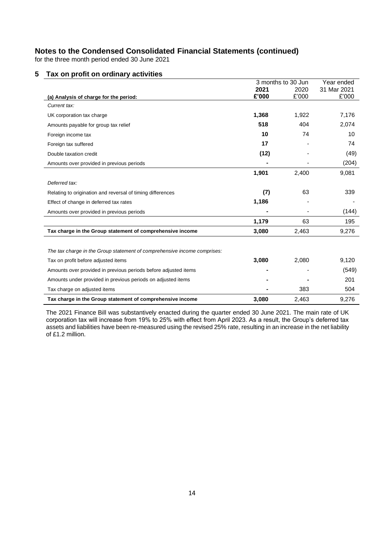for the three month period ended 30 June 2021

## **5 Tax on profit on ordinary activities**

|                                                                          |       | 3 months to 30 Jun | Year ended  |
|--------------------------------------------------------------------------|-------|--------------------|-------------|
|                                                                          | 2021  | 2020               | 31 Mar 2021 |
| (a) Analysis of charge for the period:                                   | £'000 | £'000              | £'000       |
| Current tax:                                                             |       |                    |             |
| UK corporation tax charge                                                | 1,368 | 1,922              | 7,176       |
| Amounts payable for group tax relief                                     | 518   | 404                | 2,074       |
| Foreign income tax                                                       | 10    | 74                 | 10          |
| Foreign tax suffered                                                     | 17    |                    | 74          |
| Double taxation credit                                                   | (12)  |                    | (49)        |
| Amounts over provided in previous periods                                |       |                    | (204)       |
|                                                                          | 1,901 | 2,400              | 9,081       |
| Deferred tax:                                                            |       |                    |             |
| Relating to origination and reversal of timing differences               | (7)   | 63                 | 339         |
| Effect of change in deferred tax rates                                   | 1,186 |                    |             |
| Amounts over provided in previous periods                                |       |                    | (144)       |
|                                                                          | 1,179 | 63                 | 195         |
| Tax charge in the Group statement of comprehensive income                | 3,080 | 2,463              | 9,276       |
|                                                                          |       |                    |             |
| The tax charge in the Group statement of comprehensive income comprises: |       |                    |             |
| Tax on profit before adjusted items                                      | 3,080 | 2,080              | 9,120       |
| Amounts over provided in previous periods before adjusted items          |       |                    | (549)       |
| Amounts under provided in previous periods on adjusted items             |       |                    | 201         |
| Tax charge on adjusted items                                             |       | 383                | 504         |
| Tax charge in the Group statement of comprehensive income                | 3,080 | 2,463              | 9,276       |

The 2021 Finance Bill was substantively enacted during the quarter ended 30 June 2021. The main rate of UK corporation tax will increase from 19% to 25% with effect from April 2023. As a result, the Group's deferred tax assets and liabilities have been re-measured using the revised 25% rate, resulting in an increase in the net liability of £1.2 million.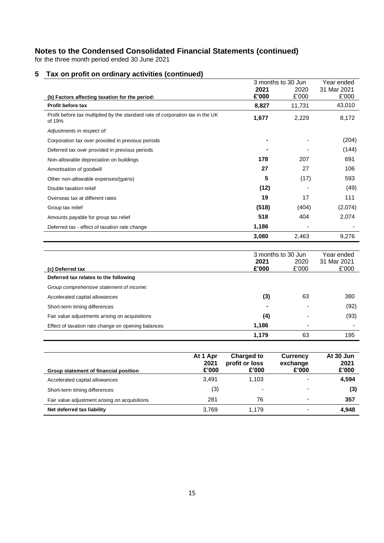for the three month period ended 30 June 2021

|                                                                                          |          |                | 3 months to 30 Jun | Year ended           |
|------------------------------------------------------------------------------------------|----------|----------------|--------------------|----------------------|
|                                                                                          |          | 2021           | 2020               | 31 Mar 2021          |
| (b) Factors affecting taxation for the period:<br>Profit before tax                      |          | £'000<br>8,827 | £'000<br>11,731    | £'000<br>43,010      |
| Profit before tax multiplied by the standard rate of corporation tax in the UK<br>of 19% |          | 1,677          | 2,229              | 8,172                |
| Adjustments in respect of:                                                               |          |                |                    |                      |
| Corporation tax over provided in previous periods                                        |          |                |                    | (204)                |
| Deferred tax over provided in previous periods                                           |          |                |                    | (144)                |
| Non-allowable depreciation on buildings                                                  |          | 178            | 207                | 691                  |
| Amortisation of goodwill                                                                 |          | 27             | 27                 | 106                  |
| Other non-allowable expenses/(gains)                                                     |          | 5              | (17)               | 593                  |
| Double taxation relief                                                                   |          | (12)           |                    | (49)                 |
| Overseas tax at different rates                                                          |          | 19             | 17                 | 111                  |
| Group tax relief                                                                         |          | (518)          | (404)              | (2,074)              |
| Amounts payable for group tax relief                                                     |          | 518            | 404                | 2,074                |
| Deferred tax - effect of taxation rate change                                            |          | 1,186          |                    |                      |
|                                                                                          |          | 3,080          | 2,463              | 9,276                |
|                                                                                          |          |                | 3 months to 30 Jun | Year ended           |
| (c) Deferred tax                                                                         |          | 2021<br>£'000  | 2020<br>£'000      | 31 Mar 2021<br>£'000 |
| Deferred tax relates to the following                                                    |          |                |                    |                      |
| Group comprehensive statement of income:                                                 |          |                |                    |                      |
| Accelerated capital allowances                                                           |          | (3)            | 63                 | 380                  |
| Short-term timing differences                                                            |          |                |                    | (92)                 |
| Fair value adjustments arising on acquisitions                                           |          | (4)            |                    | (93)                 |
| Effect of taxation rate change on opening balances                                       |          | 1,186          |                    |                      |
|                                                                                          |          | 1,179          | 63                 | 195                  |
|                                                                                          | At 1 Apr | Charged to     | <b>Currency</b>    | At 30 Jun            |

## **5 Tax on profit on ordinary activities (continued)**

| Group statement of financial position         | At 1 Apr<br>2021<br>£'000 | Charged to<br>profit or loss<br>£'000 | Currency<br>exchange<br>£'000 | At 30 Jun<br>2021<br>£'000 |
|-----------------------------------------------|---------------------------|---------------------------------------|-------------------------------|----------------------------|
| Accelerated capital allowances                | 3.491                     | 1.103                                 |                               | 4,594                      |
| Short-term timing differences                 | (3)                       |                                       | -                             | (3)                        |
| Fair value adjustment arising on acquisitions | 281                       | 76                                    | -                             | 357                        |
| Net deferred tax liability                    | 3.769                     | 1.179                                 |                               | 4,948                      |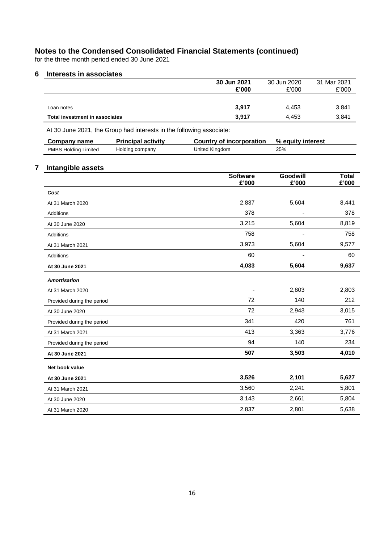for the three month period ended 30 June 2021

#### **6 Interests in associates**

| Total investment in associates | 3,917                | 4.453                | 3,841                |
|--------------------------------|----------------------|----------------------|----------------------|
| Loan notes                     | 3.917                | 4.453                | 3,841                |
|                                | 30 Jun 2021<br>£'000 | 30 Jun 2020<br>£'000 | 31 Mar 2021<br>£'000 |

At 30 June 2021, the Group had interests in the following associate:

| Company name                | <b>Principal activity</b> | Country of incorporation | % equity interest |
|-----------------------------|---------------------------|--------------------------|-------------------|
| <b>PMBS Holding Limited</b> | Holding company           | United Kingdom           | 25%               |

## **7 Intangible assets**

|                            | <b>Software</b><br>£'000 | Goodwill<br>£'000 | <b>Total</b><br>£'000 |
|----------------------------|--------------------------|-------------------|-----------------------|
| Cost                       |                          |                   |                       |
| At 31 March 2020           | 2,837                    | 5,604             | 8,441                 |
| Additions                  | 378                      |                   | 378                   |
| At 30 June 2020            | 3,215                    | 5,604             | 8,819                 |
| <b>Additions</b>           | 758                      |                   | 758                   |
| At 31 March 2021           | 3,973                    | 5,604             | 9,577                 |
| Additions                  | 60                       |                   | 60                    |
| At 30 June 2021            | 4,033                    | 5,604             | 9,637                 |
| <b>Amortisation</b>        |                          |                   |                       |
| At 31 March 2020           |                          | 2,803             | 2,803                 |
| Provided during the period | 72                       | 140               | 212                   |
| At 30 June 2020            | 72                       | 2,943             | 3,015                 |
| Provided during the period | 341                      | 420               | 761                   |
| At 31 March 2021           | 413                      | 3,363             | 3,776                 |
| Provided during the period | 94                       | 140               | 234                   |
| At 30 June 2021            | 507                      | 3,503             | 4,010                 |
| Net book value             |                          |                   |                       |
| At 30 June 2021            | 3,526                    | 2,101             | 5,627                 |
| At 31 March 2021           | 3,560                    | 2,241             | 5,801                 |
| At 30 June 2020            | 3,143                    | 2,661             | 5,804                 |
| At 31 March 2020           | 2,837                    | 2,801             | 5,638                 |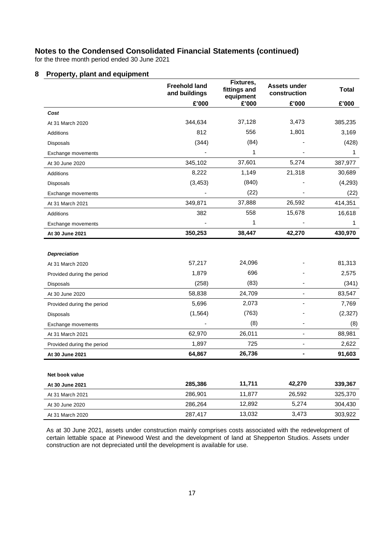for the three month period ended 30 June 2021

#### **8 Property, plant and equipment**

|                            | <b>Freehold land</b><br>and buildings | Fixtures,<br>fittings and<br>equipment | <b>Assets under</b><br>construction | <b>Total</b> |
|----------------------------|---------------------------------------|----------------------------------------|-------------------------------------|--------------|
|                            | £'000                                 | £'000                                  | £'000                               | £'000        |
| Cost                       |                                       |                                        |                                     |              |
| At 31 March 2020           | 344,634                               | 37,128                                 | 3,473                               | 385,235      |
| Additions                  | 812                                   | 556                                    | 1,801                               | 3,169        |
| <b>Disposals</b>           | (344)                                 | (84)                                   |                                     | (428)        |
| Exchange movements         |                                       | 1                                      |                                     | 1            |
| At 30 June 2020            | 345,102                               | 37,601                                 | 5,274                               | 387,977      |
| Additions                  | 8,222                                 | 1,149                                  | 21,318                              | 30,689       |
| <b>Disposals</b>           | (3, 453)                              | (840)                                  |                                     | (4,293)      |
| Exchange movements         |                                       | (22)                                   |                                     | (22)         |
| At 31 March 2021           | 349,871                               | 37,888                                 | 26,592                              | 414,351      |
| <b>Additions</b>           | 382                                   | 558                                    | 15,678                              | 16,618       |
| Exchange movements         |                                       | 1                                      |                                     | 1            |
| At 30 June 2021            | 350,253                               | 38,447                                 | 42,270                              | 430,970      |
|                            |                                       |                                        |                                     |              |
| <b>Depreciation</b>        |                                       |                                        |                                     |              |
| At 31 March 2020           | 57,217                                | 24,096                                 |                                     | 81,313       |
| Provided during the period | 1,879                                 | 696                                    |                                     | 2,575        |
| Disposals                  | (258)                                 | (83)                                   |                                     | (341)        |
| At 30 June 2020            | 58,838                                | 24,709                                 |                                     | 83,547       |
| Provided during the period | 5,696                                 | 2,073                                  |                                     | 7,769        |
| <b>Disposals</b>           | (1, 564)                              | (763)                                  |                                     | (2, 327)     |
| Exchange movements         |                                       | (8)                                    |                                     | (8)          |
| At 31 March 2021           | 62,970                                | 26,011                                 |                                     | 88,981       |
| Provided during the period | 1,897                                 | 725                                    | ٠                                   | 2,622        |
| At 30 June 2021            | 64,867                                | 26,736                                 | ۰                                   | 91,603       |
|                            |                                       |                                        |                                     |              |
| Net book value             |                                       |                                        |                                     |              |
| At 30 June 2021            | 285,386                               | 11,711                                 | 42,270                              | 339,367      |
| At 31 March 2021           | 286,901                               | 11,877                                 | 26,592                              | 325,370      |
| At 30 June 2020            | 286,264                               | 12,892                                 | 5,274                               | 304,430      |
| At 31 March 2020           | 287,417                               | 13,032                                 | 3,473                               | 303,922      |

As at 30 June 2021, assets under construction mainly comprises costs associated with the redevelopment of certain lettable space at Pinewood West and the development of land at Shepperton Studios. Assets under construction are not depreciated until the development is available for use.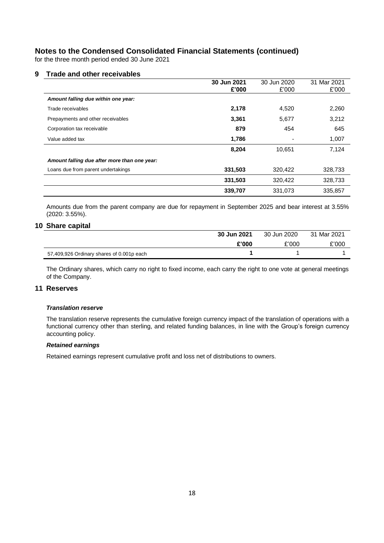for the three month period ended 30 June 2021

#### **9 Trade and other receivables**

|                                              | 30 Jun 2021 | 30 Jun 2020 | 31 Mar 2021 |
|----------------------------------------------|-------------|-------------|-------------|
|                                              | £'000       | £'000       | £'000       |
| Amount falling due within one year:          |             |             |             |
| Trade receivables                            | 2,178       | 4,520       | 2,260       |
| Prepayments and other receivables            | 3,361       | 5,677       | 3,212       |
| Corporation tax receivable                   | 879         | 454         | 645         |
| Value added tax                              | 1,786       |             | 1,007       |
|                                              | 8,204       | 10.651      | 7,124       |
| Amount falling due after more than one year: |             |             |             |
| Loans due from parent undertakings           | 331,503     | 320,422     | 328,733     |
|                                              | 331,503     | 320,422     | 328,733     |
|                                              | 339,707     | 331,073     | 335,857     |

Amounts due from the parent company are due for repayment in September 2025 and bear interest at 3.55% (2020: 3.55%).

#### **10 Share capital**

|                                           | 30 Jun 2021 | 30 Jun 2020 | 31 Mar 2021 |
|-------------------------------------------|-------------|-------------|-------------|
|                                           | £'000       | £'000       | £'000       |
| 57,409,926 Ordinary shares of 0.001p each |             |             |             |

The Ordinary shares, which carry no right to fixed income, each carry the right to one vote at general meetings of the Company.

## **11 Reserves**

#### *Translation reserve*

The translation reserve represents the cumulative foreign currency impact of the translation of operations with a functional currency other than sterling, and related funding balances, in line with the Group's foreign currency accounting policy.

#### *Retained earnings*

Retained earnings represent cumulative profit and loss net of distributions to owners.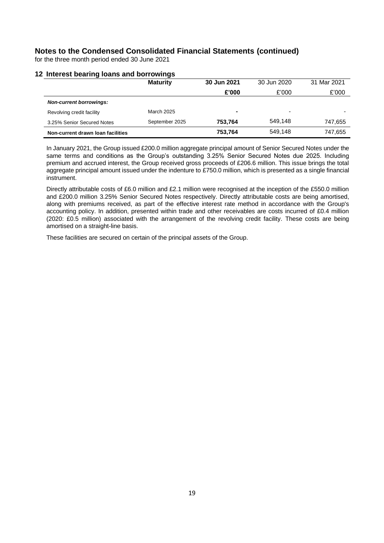for the three month period ended 30 June 2021

#### **12 Interest bearing loans and borrowings**

|                                   | . .               |             |             | 31 Mar 2021 |
|-----------------------------------|-------------------|-------------|-------------|-------------|
|                                   | <b>Maturity</b>   | 30 Jun 2021 | 30 Jun 2020 |             |
|                                   |                   | £'000       | £'000       | £'000       |
| <b>Non-current borrowings:</b>    |                   |             |             |             |
| Revolving credit facility         | <b>March 2025</b> | -           |             |             |
| 3.25% Senior Secured Notes        | September 2025    | 753.764     | 549.148     | 747,655     |
| Non-current drawn loan facilities |                   | 753.764     | 549.148     | 747,655     |

In January 2021, the Group issued £200.0 million aggregate principal amount of Senior Secured Notes under the same terms and conditions as the Group's outstanding 3.25% Senior Secured Notes due 2025. Including premium and accrued interest, the Group received gross proceeds of £206.6 million. This issue brings the total aggregate principal amount issued under the indenture to £750.0 million, which is presented as a single financial instrument.

Directly attributable costs of £6.0 million and £2.1 million were recognised at the inception of the £550.0 million and £200.0 million 3.25% Senior Secured Notes respectively. Directly attributable costs are being amortised, along with premiums received, as part of the effective interest rate method in accordance with the Group's accounting policy. In addition, presented within trade and other receivables are costs incurred of £0.4 million (2020: £0.5 million) associated with the arrangement of the revolving credit facility. These costs are being amortised on a straight-line basis.

These facilities are secured on certain of the principal assets of the Group.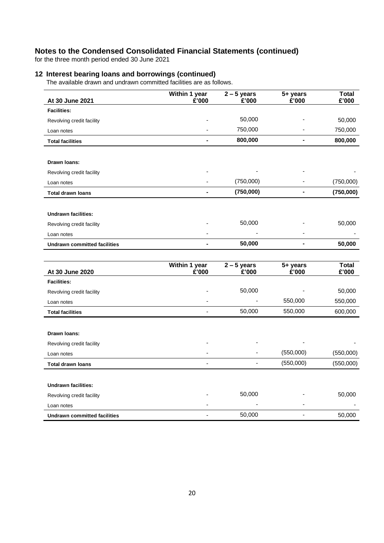for the three month period ended 30 June 2021

## **12 Interest bearing loans and borrowings (continued)**

The available drawn and undrawn committed facilities are as follows.

| At 30 June 2021                     | Within 1 year<br>£'000       | $2 - 5$ years<br>£'000 | 5+ years<br>£'000            | <b>Total</b><br>£'000 |
|-------------------------------------|------------------------------|------------------------|------------------------------|-----------------------|
| <b>Facilities:</b>                  |                              |                        |                              |                       |
| Revolving credit facility           |                              | 50,000                 |                              | 50,000                |
| Loan notes                          | $\qquad \qquad \blacksquare$ | 750,000                |                              | 750,000               |
| <b>Total facilities</b>             | ä,                           | 800,000                | ä,                           | 800,000               |
|                                     |                              |                        |                              |                       |
| Drawn Ioans:                        |                              |                        |                              |                       |
| Revolving credit facility           |                              |                        |                              |                       |
| Loan notes                          |                              | (750,000)              |                              | (750,000)             |
| <b>Total drawn loans</b>            | $\blacksquare$               | (750,000)              | $\qquad \qquad \blacksquare$ | (750,000)             |
|                                     |                              |                        |                              |                       |
| <b>Undrawn facilities:</b>          |                              |                        |                              |                       |
| Revolving credit facility           |                              | 50,000                 |                              | 50,000                |
| Loan notes                          |                              |                        |                              |                       |
| <b>Undrawn committed facilities</b> | ۰                            | 50,000                 | $\blacksquare$               | 50,000                |
|                                     |                              |                        |                              |                       |
| At 30 June 2020                     | Within 1 year<br>£'000       | $2 - 5$ years<br>£'000 | 5+ years<br>£'000            | <b>Total</b><br>£'000 |
| <b>Facilities:</b>                  |                              |                        |                              |                       |
| Revolving credit facility           |                              | 50,000                 |                              | 50,000                |
| Loan notes                          |                              |                        | 550,000                      | 550,000               |
| <b>Total facilities</b>             |                              | 50,000                 | 550,000                      | 600,000               |
|                                     |                              |                        |                              |                       |
| Drawn Ioans:                        |                              |                        |                              |                       |
| Revolving credit facility           |                              |                        |                              |                       |
| Loan notes                          |                              |                        | (550,000)                    | (550,000)             |
| <b>Total drawn loans</b>            | ÷,                           | ÷,                     | (550,000)                    | (550,000)             |
|                                     |                              |                        |                              |                       |
| <b>Undrawn facilities:</b>          |                              |                        |                              |                       |
| Revolving credit facility           |                              | 50,000                 |                              | 50,000                |
| Loan notes                          |                              |                        |                              |                       |
| <b>Undrawn committed facilities</b> |                              | 50,000                 |                              | 50,000                |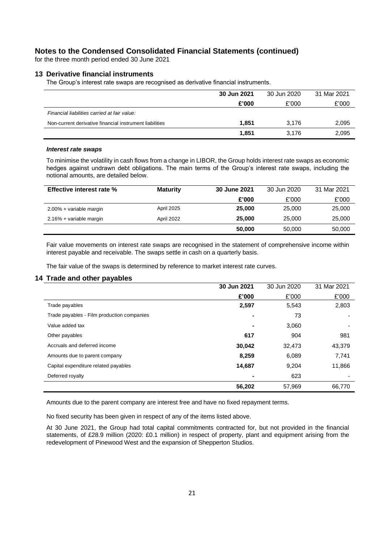for the three month period ended 30 June 2021

#### **13 Derivative financial instruments**

The Group's interest rate swaps are recognised as derivative financial instruments.

|                                                         | 30 Jun 2021 | 30 Jun 2020 | 31 Mar 2021 |
|---------------------------------------------------------|-------------|-------------|-------------|
|                                                         | £'000       | £'000       | £'000       |
| Financial liabilities carried at fair value:            |             |             |             |
| Non-current derivative financial instrument liabilities | 1.851       | 3.176       | 2,095       |
|                                                         | 1.851       | 3.176       | 2,095       |

#### *Interest rate swaps*

To minimise the volatility in cash flows from a change in LIBOR, the Group holds interest rate swaps as economic hedges against undrawn debt obligations. The main terms of the Group's interest rate swaps, including the notional amounts, are detailed below.

| <b>Effective interest rate %</b> | <b>Maturity</b> | 30 June 2021 | 30 Jun 2020 | 31 Mar 2021 |
|----------------------------------|-----------------|--------------|-------------|-------------|
|                                  |                 | £'000        | £'000       | £'000       |
| 2.00% + variable margin          | April 2025      | 25,000       | 25,000      | 25,000      |
| 2.16% + variable margin          | April 2022      | 25,000       | 25,000      | 25,000      |
|                                  |                 | 50,000       | 50,000      | 50,000      |

Fair value movements on interest rate swaps are recognised in the statement of comprehensive income within interest payable and receivable. The swaps settle in cash on a quarterly basis.

The fair value of the swaps is determined by reference to market interest rate curves.

#### **14 Trade and other payables**

|                                            | 30 Jun 2021 | 30 Jun 2020 | 31 Mar 2021 |
|--------------------------------------------|-------------|-------------|-------------|
|                                            | £'000       | £'000       | £'000       |
| Trade payables                             | 2,597       | 5,543       | 2,803       |
| Trade payables - Film production companies | ۰           | 73          |             |
| Value added tax                            | ۰           | 3,060       |             |
| Other payables                             | 617         | 904         | 981         |
| Accruals and deferred income               | 30,042      | 32,473      | 43,379      |
| Amounts due to parent company              | 8,259       | 6,089       | 7,741       |
| Capital expenditure related payables       | 14,687      | 9,204       | 11,866      |
| Deferred royalty                           | ۰           | 623         |             |
|                                            | 56,202      | 57,969      | 66,770      |

Amounts due to the parent company are interest free and have no fixed repayment terms.

No fixed security has been given in respect of any of the items listed above.

At 30 June 2021, the Group had total capital commitments contracted for, but not provided in the financial statements, of £28.9 million (2020: £0.1 million) in respect of property, plant and equipment arising from the redevelopment of Pinewood West and the expansion of Shepperton Studios.